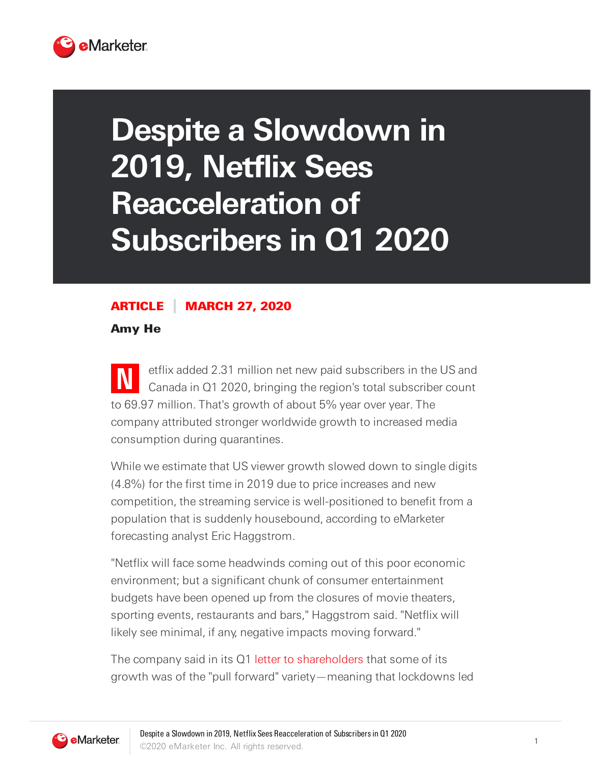

## **Despite a Slowdown in 2019, Netflix Sees Reacceleration of Subscribers in Q1 2020**

## ARTICLE MARCH 27, 2020

Amy He

**N** etflix added 2.31 million net new paid subscribers in the US and Canada in Q1 2020, bringing the region's total subscriber count to 69.97 million. That's growth of about 5% year over year. The company attributed stronger worldwide growth to increased media consumption during quarantines.

While we estimate that US viewer growth slowed down to single digits (4.8%) for the first time in 2019 due to price increases and new competition, the streaming service is well-positioned to benefit from a population that is suddenly housebound, according to eMarketer forecasting analyst Eric Haggstrom.

"Netflix will face some headwinds coming out of this poor economic environment; but a significant chunk of consumer entertainment budgets have been opened up from the closures of movie theaters, sporting events, restaurants and bars," Haggstrom said. "Netflix will likely see minimal, if any, negative impacts moving forward."

The company said in its Q1 letter to [shareholders](https://s22.q4cdn.com/959853165/files/doc_financials/2020/q1/updated/FINAL-Q1-20-Shareholder-Letter.pdf) that some of its growth was of the "pull forward" variety—meaning that lockdowns led